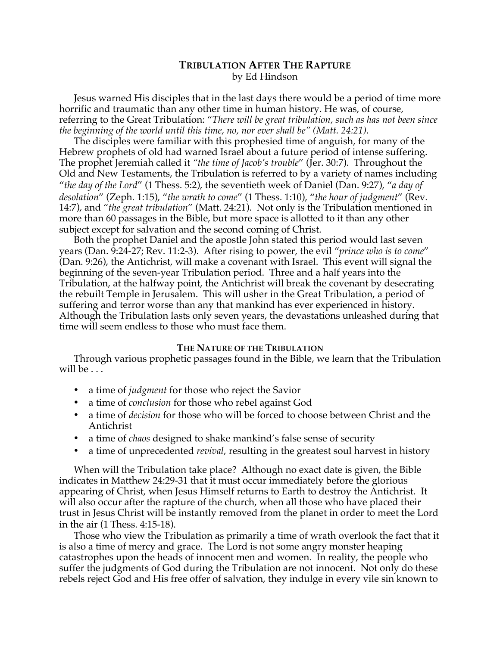# **TRIBULATION AFTER THE RAPTURE** by Ed Hindson

Jesus warned His disciples that in the last days there would be a period of time more horrific and traumatic than any other time in human history. He was, of course, referring to the Great Tribulation: "*There will be great tribulation, such as has not been since the beginning of the world until this time, no, nor ever shall be" (Matt. 24:21).*

The disciples were familiar with this prophesied time of anguish, for many of the Hebrew prophets of old had warned Israel about a future period of intense suffering. The prophet Jeremiah called it *"the time of Jacob's trouble*" (Jer. 30:7). Throughout the Old and New Testaments, the Tribulation is referred to by a variety of names including "*the day of the Lord*" (1 Thess. 5:2), the seventieth week of Daniel (Dan. 9:27), "*a day of desolation*" (Zeph. 1:15), "*the wrath to come*" (1 Thess. 1:10), "*the hour of judgment*" (Rev. 14:7), and "*the great tribulation*" (Matt. 24:21). Not only is the Tribulation mentioned in more than 60 passages in the Bible, but more space is allotted to it than any other subject except for salvation and the second coming of Christ.

Both the prophet Daniel and the apostle John stated this period would last seven years (Dan. 9:24-27; Rev. 11:2-3). After rising to power, the evil "*prince who is to come*" (Dan. 9:26), the Antichrist, will make a covenant with Israel. This event will signal the beginning of the seven-year Tribulation period. Three and a half years into the Tribulation, at the halfway point, the Antichrist will break the covenant by desecrating the rebuilt Temple in Jerusalem. This will usher in the Great Tribulation, a period of suffering and terror worse than any that mankind has ever experienced in history. Although the Tribulation lasts only seven years, the devastations unleashed during that time will seem endless to those who must face them.

### **THE NATURE OF THE TRIBULATION**

Through various prophetic passages found in the Bible, we learn that the Tribulation will be . . .

- a time of *judgment* for those who reject the Savior
- a time of *conclusion* for those who rebel against God
- a time of *decision* for those who will be forced to choose between Christ and the Antichrist
- a time of *chaos* designed to shake mankind's false sense of security
- a time of unprecedented *revival*, resulting in the greatest soul harvest in history

When will the Tribulation take place? Although no exact date is given, the Bible indicates in Matthew 24:29-31 that it must occur immediately before the glorious appearing of Christ, when Jesus Himself returns to Earth to destroy the Antichrist. It will also occur after the rapture of the church, when all those who have placed their trust in Jesus Christ will be instantly removed from the planet in order to meet the Lord in the air (1 Thess. 4:15-18).

Those who view the Tribulation as primarily a time of wrath overlook the fact that it is also a time of mercy and grace. The Lord is not some angry monster heaping catastrophes upon the heads of innocent men and women. In reality, the people who suffer the judgments of God during the Tribulation are not innocent. Not only do these rebels reject God and His free offer of salvation, they indulge in every vile sin known to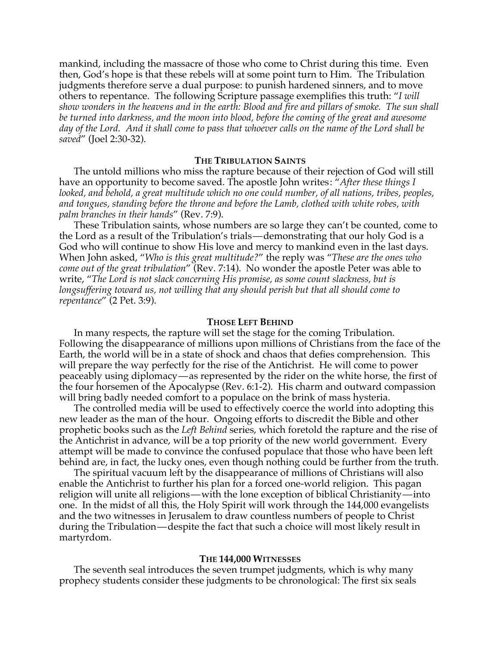mankind, including the massacre of those who come to Christ during this time. Even then, God's hope is that these rebels will at some point turn to Him. The Tribulation judgments therefore serve a dual purpose: to punish hardened sinners, and to move others to repentance. The following Scripture passage exemplifies this truth: "*I will show wonders in the heavens and in the earth: Blood and fire and pillars of smoke. The sun shall be turned into darkness, and the moon into blood, before the coming of the great and awesome day of the Lord. And it shall come to pass that whoever calls on the name of the Lord shall be saved*" (Joel 2:30-32).

### **THE TRIBULATION SAINTS**

The untold millions who miss the rapture because of their rejection of God will still have an opportunity to become saved. The apostle John writes: "*After these things I looked, and behold, a great multitude which no one could number, of all nations, tribes, peoples, and tongues, standing before the throne and before the Lamb, clothed with white robes, with palm branches in their hands*" (Rev. 7:9).

These Tribulation saints, whose numbers are so large they can't be counted, come to the Lord as a result of the Tribulation's trials—demonstrating that our holy God is a God who will continue to show His love and mercy to mankind even in the last days. When John asked, "*Who is this great multitude?*" the reply was "*These are the ones who come out of the great tribulation*" (Rev. 7:14). No wonder the apostle Peter was able to write, "*The Lord is not slack concerning His promise, as some count slackness, but is longsuffering toward us, not willing that any should perish but that all should come to repentance*" (2 Pet. 3:9).

#### **THOSE LEFT BEHIND**

In many respects, the rapture will set the stage for the coming Tribulation. Following the disappearance of millions upon millions of Christians from the face of the Earth, the world will be in a state of shock and chaos that defies comprehension. This will prepare the way perfectly for the rise of the Antichrist. He will come to power peaceably using diplomacy—as represented by the rider on the white horse, the first of the four horsemen of the Apocalypse (Rev. 6:1-2). His charm and outward compassion will bring badly needed comfort to a populace on the brink of mass hysteria.

The controlled media will be used to effectively coerce the world into adopting this new leader as the man of the hour. Ongoing efforts to discredit the Bible and other prophetic books such as the *Left Behind* series, which foretold the rapture and the rise of the Antichrist in advance, will be a top priority of the new world government. Every attempt will be made to convince the confused populace that those who have been left behind are, in fact, the lucky ones, even though nothing could be further from the truth.

The spiritual vacuum left by the disappearance of millions of Christians will also enable the Antichrist to further his plan for a forced one-world religion. This pagan religion will unite all religions—with the lone exception of biblical Christianity—into one. In the midst of all this, the Holy Spirit will work through the 144,000 evangelists and the two witnesses in Jerusalem to draw countless numbers of people to Christ during the Tribulation—despite the fact that such a choice will most likely result in martyrdom.

#### **THE 144,000 WITNESSES**

The seventh seal introduces the seven trumpet judgments, which is why many prophecy students consider these judgments to be chronological: The first six seals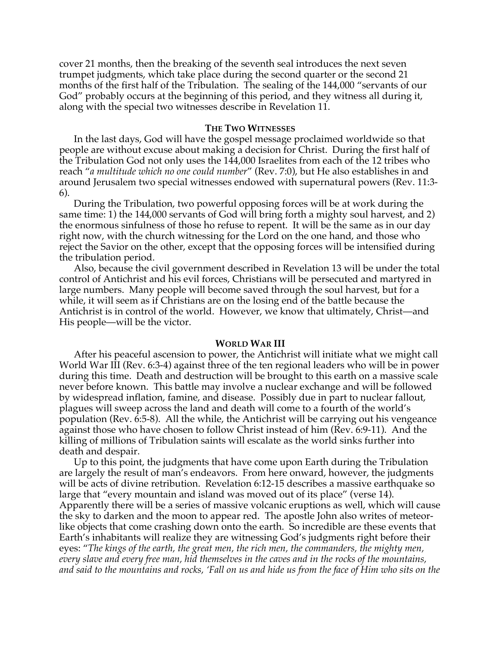cover 21 months, then the breaking of the seventh seal introduces the next seven trumpet judgments, which take place during the second quarter or the second 21 months of the first half of the Tribulation. The sealing of the 144,000 "servants of our God" probably occurs at the beginning of this period, and they witness all during it, along with the special two witnesses describe in Revelation 11.

### **THE TWO WITNESSES**

In the last days, God will have the gospel message proclaimed worldwide so that people are without excuse about making a decision for Christ. During the first half of the Tribulation God not only uses the 144,000 Israelites from each of the 12 tribes who reach "*a multitude which no one could number*" (Rev. 7:0), but He also establishes in and around Jerusalem two special witnesses endowed with supernatural powers (Rev. 11:3- 6).

During the Tribulation, two powerful opposing forces will be at work during the same time: 1) the 144,000 servants of God will bring forth a mighty soul harvest, and 2) the enormous sinfulness of those ho refuse to repent. It will be the same as in our day right now, with the church witnessing for the Lord on the one hand, and those who reject the Savior on the other, except that the opposing forces will be intensified during the tribulation period.

Also, because the civil government described in Revelation 13 will be under the total control of Antichrist and his evil forces, Christians will be persecuted and martyred in large numbers. Many people will become saved through the soul harvest, but for a while, it will seem as if Christians are on the losing end of the battle because the Antichrist is in control of the world. However, we know that ultimately, Christ—and His people—will be the victor.

#### **WORLD WAR III**

After his peaceful ascension to power, the Antichrist will initiate what we might call World War III (Rev. 6:3-4) against three of the ten regional leaders who will be in power during this time. Death and destruction will be brought to this earth on a massive scale never before known. This battle may involve a nuclear exchange and will be followed by widespread inflation, famine, and disease. Possibly due in part to nuclear fallout, plagues will sweep across the land and death will come to a fourth of the world's population (Rev. 6:5-8). All the while, the Antichrist will be carrying out his vengeance against those who have chosen to follow Christ instead of him (Rev. 6:9-11). And the killing of millions of Tribulation saints will escalate as the world sinks further into death and despair.

Up to this point, the judgments that have come upon Earth during the Tribulation are largely the result of man's endeavors. From here onward, however, the judgments will be acts of divine retribution. Revelation 6:12-15 describes a massive earthquake so large that "every mountain and island was moved out of its place" (verse 14). Apparently there will be a series of massive volcanic eruptions as well, which will cause the sky to darken and the moon to appear red. The apostle John also writes of meteorlike objects that come crashing down onto the earth. So incredible are these events that Earth's inhabitants will realize they are witnessing God's judgments right before their eyes: "*The kings of the earth, the great men, the rich men, the commanders, the mighty men, every slave and every free man, hid themselves in the caves and in the rocks of the mountains, and said to the mountains and rocks, 'Fall on us and hide us from the face of Him who sits on the*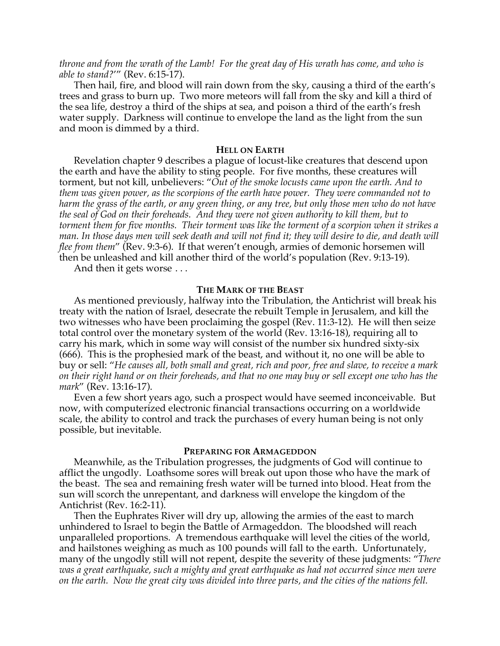*throne and from the wrath of the Lamb! For the great day of His wrath has come, and who is able to stand?*'" (Rev. 6:15-17).

Then hail, fire, and blood will rain down from the sky, causing a third of the earth's trees and grass to burn up. Two more meteors will fall from the sky and kill a third of the sea life, destroy a third of the ships at sea, and poison a third of the earth's fresh water supply. Darkness will continue to envelope the land as the light from the sun and moon is dimmed by a third.

### **HELL ON EARTH**

Revelation chapter 9 describes a plague of locust-like creatures that descend upon the earth and have the ability to sting people. For five months, these creatures will torment, but not kill, unbelievers: "*Out of the smoke locusts came upon the earth. And to them was given power, as the scorpions of the earth have power. They were commanded not to harm the grass of the earth, or any green thing, or any tree, but only those men who do not have the seal of God on their foreheads. And they were not given authority to kill them, but to torment them for five months. Their torment was like the torment of a scorpion when it strikes a man. In those days men will seek death and will not find it; they will desire to die, and death will flee from them*" (Rev. 9:3-6). If that weren't enough, armies of demonic horsemen will then be unleashed and kill another third of the world's population (Rev. 9:13-19).

And then it gets worse . . .

#### **THE MARK OF THE BEAST**

As mentioned previously, halfway into the Tribulation, the Antichrist will break his treaty with the nation of Israel, desecrate the rebuilt Temple in Jerusalem, and kill the two witnesses who have been proclaiming the gospel (Rev. 11:3-12). He will then seize total control over the monetary system of the world (Rev. 13:16-18), requiring all to carry his mark, which in some way will consist of the number six hundred sixty-six (666). This is the prophesied mark of the beast, and without it, no one will be able to buy or sell: "*He causes all, both small and great, rich and poor, free and slave, to receive a mark on their right hand or on their foreheads, and that no one may buy or sell except one who has the mark*" (Rev. 13:16-17).

Even a few short years ago, such a prospect would have seemed inconceivable. But now, with computerized electronic financial transactions occurring on a worldwide scale, the ability to control and track the purchases of every human being is not only possible, but inevitable.

#### **PREPARING FOR ARMAGEDDON**

Meanwhile, as the Tribulation progresses, the judgments of God will continue to afflict the ungodly. Loathsome sores will break out upon those who have the mark of the beast. The sea and remaining fresh water will be turned into blood. Heat from the sun will scorch the unrepentant, and darkness will envelope the kingdom of the Antichrist (Rev. 16:2-11).

Then the Euphrates River will dry up, allowing the armies of the east to march unhindered to Israel to begin the Battle of Armageddon. The bloodshed will reach unparalleled proportions. A tremendous earthquake will level the cities of the world, and hailstones weighing as much as 100 pounds will fall to the earth. Unfortunately, many of the ungodly still will not repent, despite the severity of these judgments: "*There was a great earthquake, such a mighty and great earthquake as had not occurred since men were on the earth. Now the great city was divided into three parts, and the cities of the nations fell.*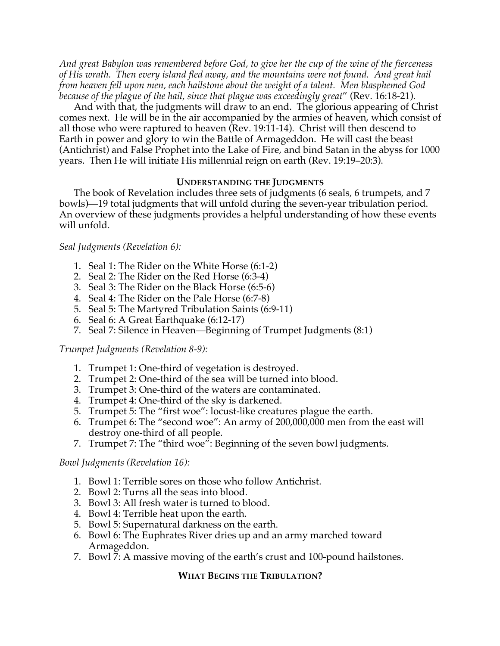*And great Babylon was remembered before God, to give her the cup of the wine of the fierceness of His wrath. Then every island fled away, and the mountains were not found. And great hail from heaven fell upon men, each hailstone about the weight of a talent. Men blasphemed God because of the plague of the hail, since that plague was exceedingly great*" (Rev. 16:18-21).

And with that, the judgments will draw to an end. The glorious appearing of Christ comes next. He will be in the air accompanied by the armies of heaven, which consist of all those who were raptured to heaven (Rev. 19:11-14). Christ will then descend to Earth in power and glory to win the Battle of Armageddon. He will cast the beast (Antichrist) and False Prophet into the Lake of Fire, and bind Satan in the abyss for 1000 years. Then He will initiate His millennial reign on earth (Rev. 19:19–20:3).

## **UNDERSTANDING THE JUDGMENTS**

The book of Revelation includes three sets of judgments (6 seals, 6 trumpets, and 7 bowls)—19 total judgments that will unfold during the seven-year tribulation period. An overview of these judgments provides a helpful understanding of how these events will unfold.

## *Seal Judgments (Revelation 6):*

- 1. Seal 1: The Rider on the White Horse (6:1-2)
- 2. Seal 2: The Rider on the Red Horse (6:3-4)
- 3. Seal 3: The Rider on the Black Horse (6:5-6)
- 4. Seal 4: The Rider on the Pale Horse (6:7-8)
- 5. Seal 5: The Martyred Tribulation Saints (6:9-11)
- 6. Seal 6: A Great Earthquake (6:12-17)
- 7. Seal 7: Silence in Heaven—Beginning of Trumpet Judgments (8:1)

## *Trumpet Judgments (Revelation 8-9):*

- 1. Trumpet 1: One-third of vegetation is destroyed.
- 2. Trumpet 2: One-third of the sea will be turned into blood.
- 3. Trumpet 3: One-third of the waters are contaminated.
- 4. Trumpet 4: One-third of the sky is darkened.
- 5. Trumpet 5: The "first woe": locust-like creatures plague the earth.
- 6. Trumpet 6: The "second woe": An army of 200,000,000 men from the east will destroy one-third of all people.
- 7. Trumpet 7: The "third woe": Beginning of the seven bowl judgments.

## *Bowl Judgments (Revelation 16):*

- 1. Bowl 1: Terrible sores on those who follow Antichrist.
- 2. Bowl 2: Turns all the seas into blood.
- 3. Bowl 3: All fresh water is turned to blood.
- 4. Bowl 4: Terrible heat upon the earth.
- 5. Bowl 5: Supernatural darkness on the earth.
- 6. Bowl 6: The Euphrates River dries up and an army marched toward Armageddon.
- 7. Bowl 7: A massive moving of the earth's crust and 100-pound hailstones.

## **WHAT BEGINS THE TRIBULATION?**